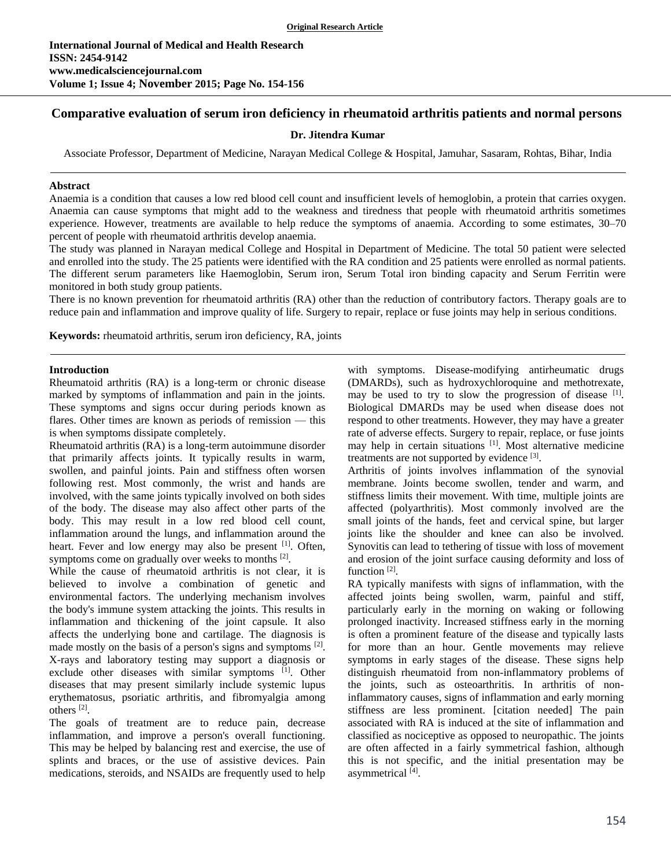# **Comparative evaluation of serum iron deficiency in rheumatoid arthritis patients and normal persons**

### **Dr. Jitendra Kumar**

Associate Professor, Department of Medicine, Narayan Medical College & Hospital, Jamuhar, Sasaram, Rohtas, Bihar, India

#### **Abstract**

Anaemia is a condition that causes a low red blood cell count and insufficient levels of hemoglobin, a protein that carries oxygen. Anaemia can cause symptoms that might add to the weakness and tiredness that people with rheumatoid arthritis sometimes experience. However, treatments are available to help reduce the symptoms of anaemia. According to some estimates, 30–70 percent of people with rheumatoid arthritis develop anaemia.

The study was planned in Narayan medical College and Hospital in Department of Medicine. The total 50 patient were selected and enrolled into the study. The 25 patients were identified with the RA condition and 25 patients were enrolled as normal patients. The different serum parameters like Haemoglobin, Serum iron, Serum Total iron binding capacity and Serum Ferritin were monitored in both study group patients.

There is no known prevention for rheumatoid arthritis (RA) other than the reduction of contributory factors. Therapy goals are to reduce pain and inflammation and improve quality of life. Surgery to repair, replace or fuse joints may help in serious conditions.

**Keywords:** rheumatoid arthritis, serum iron deficiency, RA, joints

#### **Introduction**

Rheumatoid arthritis (RA) is a long-term or chronic disease marked by symptoms of inflammation and pain in the joints. These symptoms and signs occur during periods known as flares. Other times are known as periods of remission — this is when symptoms dissipate completely.

Rheumatoid arthritis (RA) is a long-term autoimmune disorder that primarily affects joints. It typically results in warm, swollen, and painful joints. Pain and stiffness often worsen following rest. Most commonly, the wrist and hands are involved, with the same joints typically involved on both sides of the body. The disease may also affect other parts of the body. This may result in a low red blood cell count, inflammation around the lungs, and inflammation around the heart. Fever and low energy may also be present [1]. Often, symptoms come on gradually over weeks to months  $^{[2]}$ .

While the cause of rheumatoid arthritis is not clear, it is believed to involve a combination of genetic and environmental factors. The underlying mechanism involves the body's immune system attacking the joints. This results in inflammation and thickening of the joint capsule. It also affects the underlying bone and cartilage. The diagnosis is made mostly on the basis of a person's signs and symptoms <sup>[2]</sup>. X-rays and laboratory testing may support a diagnosis or exclude other diseases with similar symptoms [1]. Other diseases that may present similarly include systemic lupus erythematosus, psoriatic arthritis, and fibromyalgia among others [2] .

The goals of treatment are to reduce pain, decrease inflammation, and improve a person's overall functioning. This may be helped by balancing rest and exercise, the use of splints and braces, or the use of assistive devices. Pain medications, steroids, and NSAIDs are frequently used to help

with symptoms. Disease-modifying antirheumatic drugs (DMARDs), such as hydroxychloroquine and methotrexate, may be used to try to slow the progression of disease [1]. Biological DMARDs may be used when disease does not respond to other treatments. However, they may have a greater rate of adverse effects. Surgery to repair, replace, or fuse joints may help in certain situations <sup>[1]</sup>. Most alternative medicine treatments are not supported by evidence [3].

Arthritis of joints involves inflammation of the synovial membrane. Joints become swollen, tender and warm, and stiffness limits their movement. With time, multiple joints are affected (polyarthritis). Most commonly involved are the small joints of the hands, feet and cervical spine, but larger joints like the shoulder and knee can also be involved. Synovitis can lead to tethering of tissue with loss of movement and erosion of the joint surface causing deformity and loss of function<sup>[2]</sup>.

RA typically manifests with signs of inflammation, with the affected joints being swollen, warm, painful and stiff, particularly early in the morning on waking or following prolonged inactivity. Increased stiffness early in the morning is often a prominent feature of the disease and typically lasts for more than an hour. Gentle movements may relieve symptoms in early stages of the disease. These signs help distinguish rheumatoid from non-inflammatory problems of the joints, such as osteoarthritis. In arthritis of noninflammatory causes, signs of inflammation and early morning stiffness are less prominent. [citation needed] The pain associated with RA is induced at the site of inflammation and classified as nociceptive as opposed to neuropathic. The joints are often affected in a fairly symmetrical fashion, although this is not specific, and the initial presentation may be asymmetrical<sup>[4]</sup>.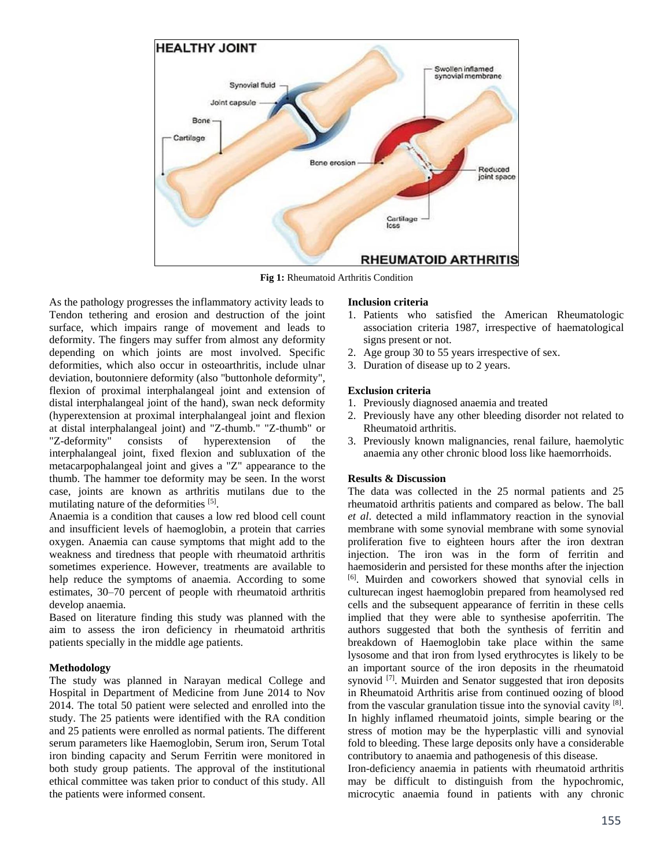

**Fig 1:** Rheumatoid Arthritis Condition

As the pathology progresses the inflammatory activity leads to Tendon tethering and erosion and destruction of the joint surface, which impairs range of movement and leads to deformity. The fingers may suffer from almost any deformity depending on which joints are most involved. Specific deformities, which also occur in osteoarthritis, include ulnar deviation, boutonniere deformity (also "buttonhole deformity", flexion of proximal interphalangeal joint and extension of distal interphalangeal joint of the hand), swan neck deformity (hyperextension at proximal interphalangeal joint and flexion at distal interphalangeal joint) and "Z-thumb." "Z-thumb" or "Z-deformity" consists of hyperextension of the interphalangeal joint, fixed flexion and subluxation of the metacarpophalangeal joint and gives a "Z" appearance to the thumb. The hammer toe deformity may be seen. In the worst case, joints are known as arthritis mutilans due to the mutilating nature of the deformities [5].

Anaemia is a condition that causes a low red blood cell count and insufficient levels of haemoglobin, a protein that carries oxygen. Anaemia can cause symptoms that might add to the weakness and tiredness that people with rheumatoid arthritis sometimes experience. However, treatments are available to help reduce the symptoms of anaemia. According to some estimates, 30–70 percent of people with rheumatoid arthritis develop anaemia.

Based on literature finding this study was planned with the aim to assess the iron deficiency in rheumatoid arthritis patients specially in the middle age patients.

# **Methodology**

The study was planned in Narayan medical College and Hospital in Department of Medicine from June 2014 to Nov 2014. The total 50 patient were selected and enrolled into the study. The 25 patients were identified with the RA condition and 25 patients were enrolled as normal patients. The different serum parameters like Haemoglobin, Serum iron, Serum Total iron binding capacity and Serum Ferritin were monitored in both study group patients. The approval of the institutional ethical committee was taken prior to conduct of this study. All the patients were informed consent.

### **Inclusion criteria**

- 1. Patients who satisfied the American Rheumatologic association criteria 1987, irrespective of haematological signs present or not.
- 2. Age group 30 to 55 years irrespective of sex.
- 3. Duration of disease up to 2 years.

### **Exclusion criteria**

- 1. Previously diagnosed anaemia and treated
- 2. Previously have any other bleeding disorder not related to Rheumatoid arthritis.
- 3. Previously known malignancies, renal failure, haemolytic anaemia any other chronic blood loss like haemorrhoids.

# **Results & Discussion**

The data was collected in the 25 normal patients and 25 rheumatoid arthritis patients and compared as below. The ball *et al*. detected a mild inflammatory reaction in the synovial membrane with some synovial membrane with some synovial proliferation five to eighteen hours after the iron dextran injection. The iron was in the form of ferritin and haemosiderin and persisted for these months after the injection [6]. Muirden and coworkers showed that synovial cells in culturecan ingest haemoglobin prepared from heamolysed red cells and the subsequent appearance of ferritin in these cells implied that they were able to synthesise apoferritin. The authors suggested that both the synthesis of ferritin and breakdown of Haemoglobin take place within the same lysosome and that iron from lysed erythrocytes is likely to be an important source of the iron deposits in the rheumatoid synovid <sup>[7]</sup>. Muirden and Senator suggested that iron deposits in Rheumatoid Arthritis arise from continued oozing of blood from the vascular granulation tissue into the synovial cavity  $[8]$ . In highly inflamed rheumatoid joints, simple bearing or the stress of motion may be the hyperplastic villi and synovial fold to bleeding. These large deposits only have a considerable contributory to anaemia and pathogenesis of this disease.

Iron-deficiency anaemia in patients with rheumatoid arthritis may be difficult to distinguish from the hypochromic, microcytic anaemia found in patients with any chronic